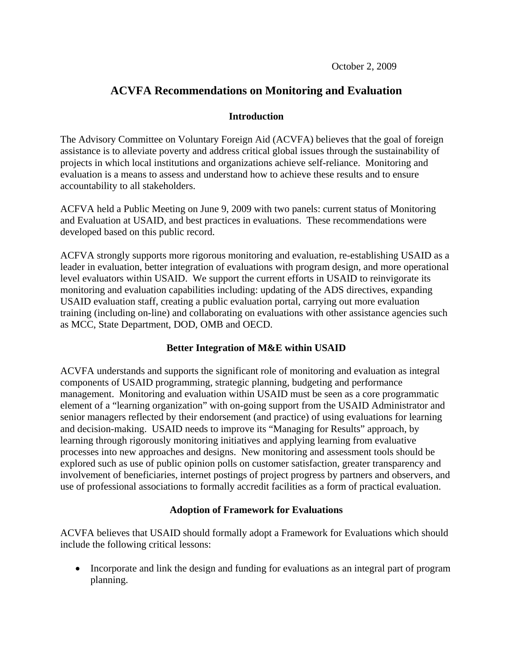# **ACVFA Recommendations on Monitoring and Evaluation**

### **Introduction**

The Advisory Committee on Voluntary Foreign Aid (ACVFA) believes that the goal of foreign assistance is to alleviate poverty and address critical global issues through the sustainability of projects in which local institutions and organizations achieve self-reliance. Monitoring and evaluation is a means to assess and understand how to achieve these results and to ensure accountability to all stakeholders.

ACFVA held a Public Meeting on June 9, 2009 with two panels: current status of Monitoring and Evaluation at USAID, and best practices in evaluations. These recommendations were developed based on this public record.

ACFVA strongly supports more rigorous monitoring and evaluation, re-establishing USAID as a leader in evaluation, better integration of evaluations with program design, and more operational level evaluators within USAID. We support the current efforts in USAID to reinvigorate its monitoring and evaluation capabilities including: updating of the ADS directives, expanding USAID evaluation staff, creating a public evaluation portal, carrying out more evaluation training (including on-line) and collaborating on evaluations with other assistance agencies such as MCC, State Department, DOD, OMB and OECD.

## **Better Integration of M&E within USAID**

ACVFA understands and supports the significant role of monitoring and evaluation as integral components of USAID programming, strategic planning, budgeting and performance management. Monitoring and evaluation within USAID must be seen as a core programmatic element of a "learning organization" with on-going support from the USAID Administrator and senior managers reflected by their endorsement (and practice) of using evaluations for learning and decision-making. USAID needs to improve its "Managing for Results" approach, by learning through rigorously monitoring initiatives and applying learning from evaluative processes into new approaches and designs. New monitoring and assessment tools should be explored such as use of public opinion polls on customer satisfaction, greater transparency and involvement of beneficiaries, internet postings of project progress by partners and observers, and use of professional associations to formally accredit facilities as a form of practical evaluation.

## **Adoption of Framework for Evaluations**

ACVFA believes that USAID should formally adopt a Framework for Evaluations which should include the following critical lessons:

• Incorporate and link the design and funding for evaluations as an integral part of program planning.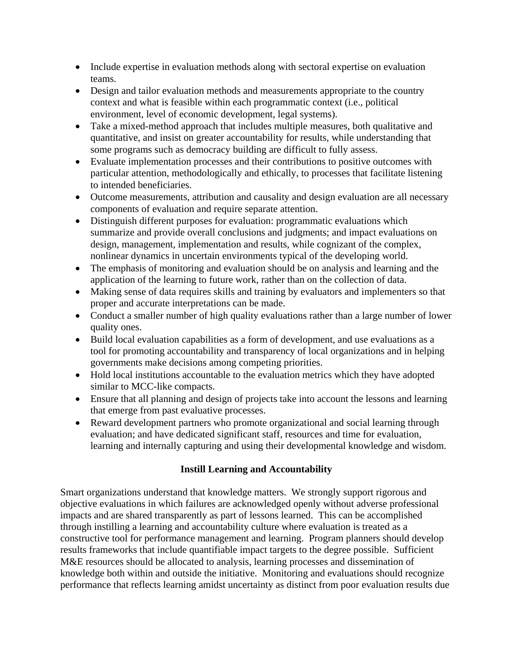- Include expertise in evaluation methods along with sectoral expertise on evaluation teams.
- Design and tailor evaluation methods and measurements appropriate to the country context and what is feasible within each programmatic context (i.e., political environment, level of economic development, legal systems).
- Take a mixed-method approach that includes multiple measures, both qualitative and quantitative, and insist on greater accountability for results, while understanding that some programs such as democracy building are difficult to fully assess.
- Evaluate implementation processes and their contributions to positive outcomes with particular attention, methodologically and ethically, to processes that facilitate listening to intended beneficiaries.
- Outcome measurements, attribution and causality and design evaluation are all necessary components of evaluation and require separate attention.
- Distinguish different purposes for evaluation: programmatic evaluations which summarize and provide overall conclusions and judgments; and impact evaluations on design, management, implementation and results, while cognizant of the complex, nonlinear dynamics in uncertain environments typical of the developing world.
- The emphasis of monitoring and evaluation should be on analysis and learning and the application of the learning to future work, rather than on the collection of data.
- Making sense of data requires skills and training by evaluators and implementers so that proper and accurate interpretations can be made.
- Conduct a smaller number of high quality evaluations rather than a large number of lower quality ones.
- Build local evaluation capabilities as a form of development, and use evaluations as a tool for promoting accountability and transparency of local organizations and in helping governments make decisions among competing priorities.
- Hold local institutions accountable to the evaluation metrics which they have adopted similar to MCC-like compacts.
- Ensure that all planning and design of projects take into account the lessons and learning that emerge from past evaluative processes.
- Reward development partners who promote organizational and social learning through evaluation; and have dedicated significant staff, resources and time for evaluation, learning and internally capturing and using their developmental knowledge and wisdom.

## **Instill Learning and Accountability**

Smart organizations understand that knowledge matters. We strongly support rigorous and objective evaluations in which failures are acknowledged openly without adverse professional impacts and are shared transparently as part of lessons learned. This can be accomplished through instilling a learning and accountability culture where evaluation is treated as a constructive tool for performance management and learning. Program planners should develop results frameworks that include quantifiable impact targets to the degree possible. Sufficient M&E resources should be allocated to analysis, learning processes and dissemination of knowledge both within and outside the initiative. Monitoring and evaluations should recognize performance that reflects learning amidst uncertainty as distinct from poor evaluation results due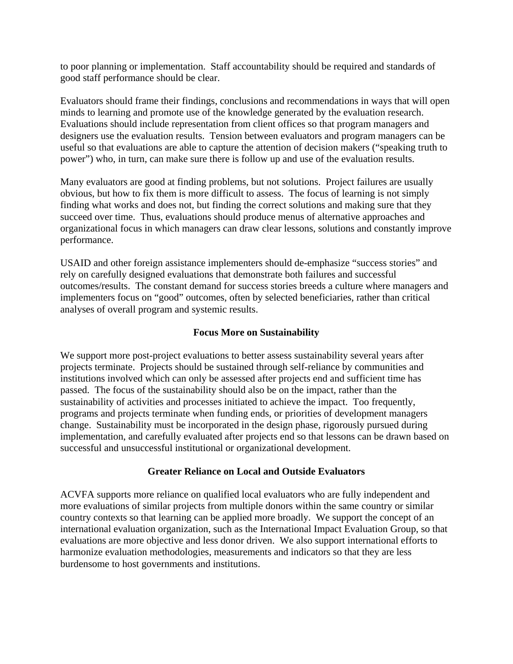to poor planning or implementation. Staff accountability should be required and standards of good staff performance should be clear.

Evaluators should frame their findings, conclusions and recommendations in ways that will open minds to learning and promote use of the knowledge generated by the evaluation research. Evaluations should include representation from client offices so that program managers and designers use the evaluation results. Tension between evaluators and program managers can be useful so that evaluations are able to capture the attention of decision makers ("speaking truth to power") who, in turn, can make sure there is follow up and use of the evaluation results.

Many evaluators are good at finding problems, but not solutions. Project failures are usually obvious, but how to fix them is more difficult to assess. The focus of learning is not simply finding what works and does not, but finding the correct solutions and making sure that they succeed over time. Thus, evaluations should produce menus of alternative approaches and organizational focus in which managers can draw clear lessons, solutions and constantly improve performance.

USAID and other foreign assistance implementers should de-emphasize "success stories" and rely on carefully designed evaluations that demonstrate both failures and successful outcomes/results. The constant demand for success stories breeds a culture where managers and implementers focus on "good" outcomes, often by selected beneficiaries, rather than critical analyses of overall program and systemic results.

## **Focus More on Sustainability**

We support more post-project evaluations to better assess sustainability several years after projects terminate. Projects should be sustained through self-reliance by communities and institutions involved which can only be assessed after projects end and sufficient time has passed. The focus of the sustainability should also be on the impact, rather than the sustainability of activities and processes initiated to achieve the impact. Too frequently, programs and projects terminate when funding ends, or priorities of development managers change. Sustainability must be incorporated in the design phase, rigorously pursued during implementation, and carefully evaluated after projects end so that lessons can be drawn based on successful and unsuccessful institutional or organizational development.

### **Greater Reliance on Local and Outside Evaluators**

ACVFA supports more reliance on qualified local evaluators who are fully independent and more evaluations of similar projects from multiple donors within the same country or similar country contexts so that learning can be applied more broadly. We support the concept of an international evaluation organization, such as the International Impact Evaluation Group, so that evaluations are more objective and less donor driven. We also support international efforts to harmonize evaluation methodologies, measurements and indicators so that they are less burdensome to host governments and institutions.